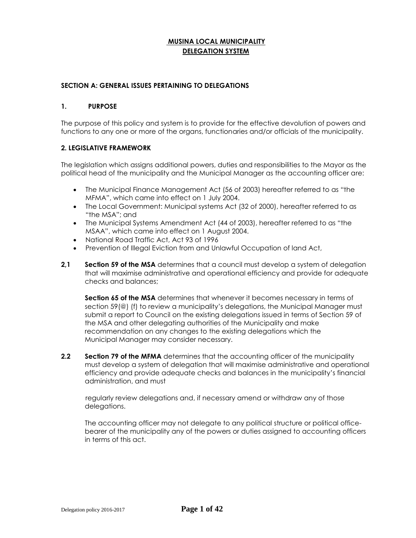# **MUSINA LOCAL MUNICIPALITY DELEGATION SYSTEM**

#### **SECTION A: GENERAL ISSUES PERTAINING TO DELEGATIONS**

#### **1. PURPOSE**

The purpose of this policy and system is to provide for the effective devolution of powers and functions to any one or more of the organs, functionaries and/or officials of the municipality.

#### **2. LEGISLATIVE FRAMEWORK**

The legislation which assigns additional powers, duties and responsibilities to the Mayor as the political head of the municipality and the Municipal Manager as the accounting officer are:

- The Municipal Finance Management Act (56 of 2003) hereafter referred to as "the MFMA", which came into effect on 1 July 2004.
- The Local Government: Municipal systems Act (32 of 2000), hereafter referred to as "the MSA"; and
- The Municipal Systems Amendment Act (44 of 2003), hereafter referred to as "the MSAA", which came into effect on 1 August 2004.
- National Road Traffic Act, Act 93 of 1996
- Prevention of Illegal Eviction from and Unlawful Occupation of land Act,
- **2,1 Section 59 of the MSA** determines that a council must develop a system of delegation that will maximise administrative and operational efficiency and provide for adequate checks and balances;

**Section 65 of the MSA** determines that whenever it becomes necessary in terms of section 59(@) (f) to review a municipality's delegations, the Municipal Manager must submit a report to Council on the existing delegations issued in terms of Section 59 of the MSA and other delegating authorities of the Municipality and make recommendation on any changes to the existing delegations which the Municipal Manager may consider necessary.

**2.2 Section 79 of the MFMA** determines that the accounting officer of the municipality must develop a system of delegation that will maximise administrative and operational efficiency and provide adequate checks and balances in the municipality's financial administration, and must

regularly review delegations and, if necessary amend or withdraw any of those delegations.

The accounting officer may not delegate to any political structure or political officebearer of the municipality any of the powers or duties assigned to accounting officers in terms of this act.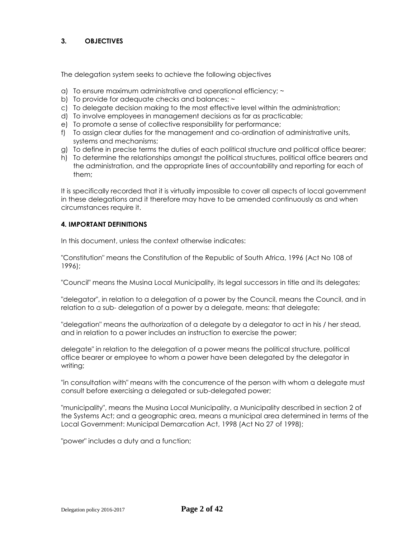## **3. OBJECTIVES**

The delegation system seeks to achieve the following objectives

- a) To ensure maximum administrative and operational efficiency; ~
- b) To provide for adequate checks and balances;  $\sim$
- c) To delegate decision making to the most effective level within the administration;
- d) To involve employees in management decisions as far as practicable;
- e) To promote a sense of collective responsibility for performance;
- f) To assign clear duties for the management and co-ordination of administrative units, systems and mechanisms;
- g) To define in precise terms the duties of each political structure and political office bearer;
- h) To determine the relationships amongst the political structures, political office bearers and the administration, and the appropriate lines of accountability and reporting for each of them;

It is specifically recorded that it is virtually impossible to cover all aspects of local government in these delegations and it therefore may have to be amended continuously as and when circumstances require it.

## **4. IMPORTANT DEFINITIONS**

In this document, unless the context otherwise indicates:

"Constitution" means the Constitution of the Republic of South Africa, 1996 (Act No 108 of 1996);

"Council" means the Musina Local Municipality, its legal successors in title and its delegates;

"delegator", in relation to a delegation of a power by the Council, means the Council, and in relation to a sub- delegation of a power by a delegate, means: that delegate;

"delegation" means the authorization of a delegate by a delegator to act in his / her stead, and in relation to a power includes an instruction to exercise the power;

delegate" in relation to the delegation of a power means the political structure, political office bearer or employee to whom a power have been delegated by the delegator in writing;

"in consultation with" means with the concurrence of the person with whom a delegate must consult before exercising a delegated or sub-delegated power;

"municipality", means the Musina Local Municipality, a Municipality described in section 2 of the Systems Act; and a geographic area, means a municipal area determined in terms of the Local Government: Municipal Demarcation Act, 1998 (Act No 27 of 1998);

"power" includes a duty and a function;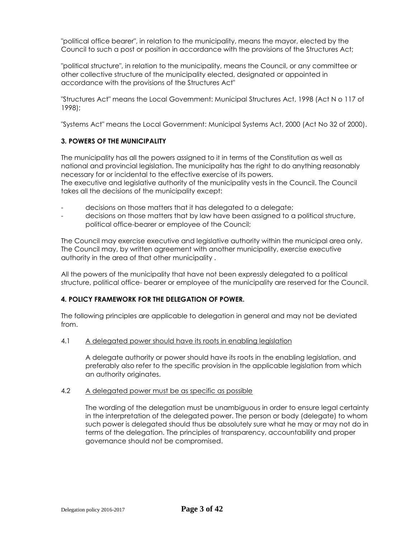"political office bearer", in relation to the municipality, means the mayor, elected by the Council to such a post or position in accordance with the provisions of the Structures Act;

"political structure", in relation to the municipality, means the Council, or any committee or other collective structure of the municipality elected, designated or appointed in accordance with the provisions of the Structures Act"

"Structures Act" means the Local Government: Municipal Structures Act, 1998 (Act N o 117 of 1998);

"Systems Act" means the Local Government: Municipal Systems Act, 2000 (Act No 32 of 2000).

## **3. POWERS OF THE MUNICIPALITY**

The municipality has all the powers assigned to it in terms of the Constitution as well as national and provincial legislation. The municipality has the right to do anything reasonably necessary for or incidental to the effective exercise of its powers. The executive and legislative authority of the municipality vests in the Council. The Council takes all the decisions of the municipality except:

- decisions on those matters that it has delegated to a delegate;
- decisions on those matters that by law have been assigned to a political structure, political office-bearer or employee of the Council;

The Council may exercise executive and legislative authority within the municipal area only. The Council may, by written agreement with another municipality, exercise executive authority in the area of that other municipality .

All the powers of the municipality that have not been expressly delegated to a political structure, political office- bearer or employee of the municipality are reserved for the Council.

## **4. POLICY FRAMEWORK FOR THE DELEGATION OF POWER.**

The following principles are applicable to delegation in general and may not be deviated from.

#### 4.1 A delegated power should have its roots in enabling legislation

A delegate authority or power should have its roots in the enabling legislation, and preferably also refer to the specific provision in the applicable legislation from which an authority originates.

#### 4.2 A delegated power must be as specific as possible

The wording of the delegation must be unambiguous in order to ensure legal certainty in the interpretation of the delegated power. The person or body (delegate) to whom such power is delegated should thus be absolutely sure what he may or may not do in terms of the delegation. The principles of transparency, accountability and proper governance should not be compromised.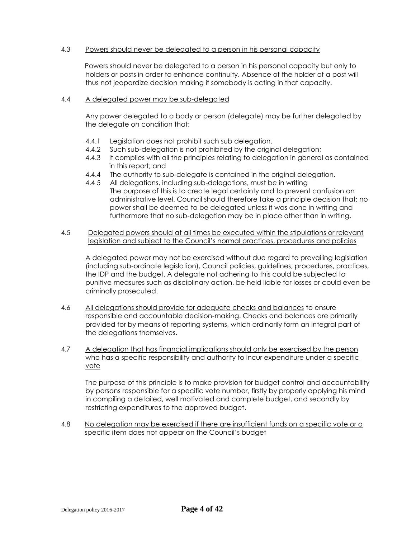#### 4.3 Powers should never be delegated to a person in his personal capacity

Powers should never be delegated to a person in his personal capacity but only to holders or posts in order to enhance continuity. Absence of the holder of a post will thus not jeopardize decision making if somebody is acting in that capacity.

#### 4.4 A delegated power may be sub-delegated

Any power delegated to a body or person (delegate) may be further delegated by the delegate on condition that:

- 4.4.1 Legislation does not prohibit such sub delegation.
- 4.4.2 Such sub-delegation is not prohibited by the original delegation;
- 4.4.3 It complies with all the principles relating to delegation in general as contained in this report; and
- 4.4.4 The authority to sub-delegate is contained in the original delegation.
- 4.4 5 All delegations, including sub-delegations, must be in writing The purpose of this is to create legal certainty and to prevent confusion on administrative level. Council should therefore take a principle decision that: no power shall be deemed to be delegated unless it was done in writing and furthermore that no sub-delegation may be in place other than in writing.
- 4.5 Delegated powers should at all times be executed within the stipulations or relevant legislation and subject to the Council's normal practices, procedures and policies

A delegated power may not be exercised without due regard to prevailing legislation (including sub-ordinate legislation), Council policies, guidelines, procedures, practices, the IDP and the budget. A delegate not adhering to this could be subjected to punitive measures such as disciplinary action, be held liable for losses or could even be criminally prosecuted.

- 4.6 All delegations should provide for adequate checks and balances to ensure responsible and accountable decision-making. Checks and balances are primarily provided for by means of reporting systems, which ordinarily form an integral part of the delegations themselves.
- 4.7 A delegation that has financial implications should only be exercised by the person who has a specific responsibility and authority to incur expenditure under a specific vote

The purpose of this principle is to make provision for budget control and accountability by persons responsible for a specific vote number, firstly by properly applying his mind in compiling a detailed, well motivated and complete budget, and secondly by restricting expenditures to the approved budget.

4.8 No delegation may be exercised if there are insufficient funds on a specific vote or a specific item does not appear on the Council's budget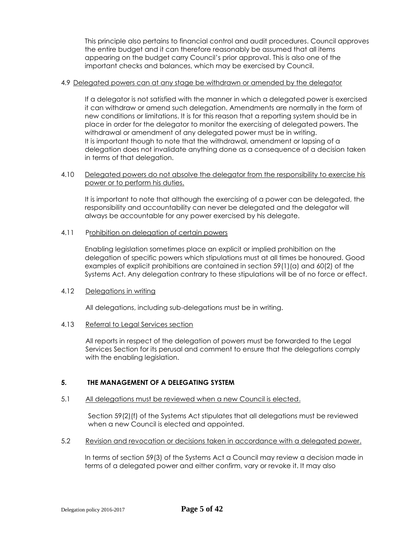This principle also pertains to financial control and audit procedures. Council approves the entire budget and it can therefore reasonably be assumed that all items appearing on the budget carry Council's prior approval. This is also one of the important checks and balances, which may be exercised by Council.

#### 4.9 Delegated powers can at any stage be withdrawn or amended by the delegator

If a delegator is not satisfied with the manner in which a delegated power is exercised it can withdraw or amend such delegation. Amendments are normally in the form of new conditions or limitations. It is for this reason that a reporting system should be in place in order for the delegator to monitor the exercising of delegated powers. The withdrawal or amendment of any delegated power must be in writing. It is important though to note that the withdrawal, amendment or lapsing of a delegation does not invalidate anything done as a consequence of a decision taken in terms of that delegation.

#### 4.10 Delegated powers do not absolve the delegator from the responsibility to exercise his power or to perform his duties.

It is important to note that although the exercising of a power can be delegated, the responsibility and accountability can never be delegated and the delegator will always be accountable for any power exercised by his delegate.

#### 4.11 Prohibition on delegation of certain powers

Enabling legislation sometimes place an explicit or implied prohibition on the delegation of specific powers which stipulations must at all times be honoured. Good examples of explicit prohibitions are contained in section 59(1)(a) and 60(2) of the Systems Act. Any delegation contrary to these stipulations will be of no force or effect.

## 4.12 Delegations in writing

All delegations, including sub-delegations must be in writing.

## 4.13 Referral to Legal Services section

All reports in respect of the delegation of powers must be forwarded to the Legal Services Section for its perusal and comment to ensure that the delegations comply with the enabling legislation.

## **5. THE MANAGEMENT OF A DELEGATING SYSTEM**

## 5.1 All delegations must be reviewed when a new Council is elected.

Section 59(2)(f) of the Systems Act stipulates that all delegations must be reviewed when a new Council is elected and appointed.

5.2 Revision and revocation or decisions taken in accordance with a delegated power.

In terms of section 59(3) of the Systems Act a Council may review a decision made in terms of a delegated power and either confirm, vary or revoke it. It may also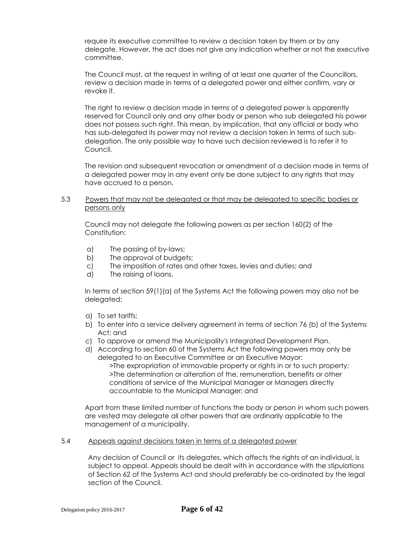require its executive committee to review a decision taken by them or by any delegate. However, the act does not give any indication whether or not the executive committee.

The Council must, at the request in writing of at least one quarter of the Councillors, review a decision made in terms of a delegated power and either confirm, vary or revoke it.

The right to review a decision made in terms of a delegated power is apparently reserved for Council only and any other body or person who sub delegated his power does not possess such right. This mean, by implication, that any official or body who has sub-delegated its power may not review a decision taken in terms of such subdelegation. The only possible way to have such decision reviewed is to refer it to Council.

The revision and subsequent revocation or amendment of a decision made in terms of a delegated power may in any event only be done subject to any rights that may have accrued to a person.

## 5.3 Powers that may not be delegated or that may be delegated to specific bodies or persons only

Council may not delegate the following powers as per section 160(2) of the Constitution:

- a) The passing of by-laws;
- b) The approval of budgets;
- c) The imposition of rates and other taxes, levies and duties; and
- d) The raising of loans.

In terms of section 59(1)(a) of the Systems Act the following powers may also not be delegated:

- a) To set tariffs;
- b) To enter into a service delivery agreement in terms of section 76 (b) of the Systems Act; and
- c) To approve or amend the Municipality's Integrated Development Plan.
- d) According to section 60 of the Systems Act the following powers may only be delegated to an Executive Committee or an Executive Mayor:

>The expropriation of immovable property or rights in or to such property; >The determination or alteration of the, remuneration, benefits or other conditions of service of the Municipal Manager or Managers directly accountable to the Municipal Manager; and

Apart from these limited number of functions the body or person in whom such powers are vested may delegate all other powers that are ordinarily applicable to the management of a municipality.

## 5.4 Appeals against decisions taken in terms of a delegated power

Any decision of Council or its delegates, which affects the rights of an individual, is subject to appeal. Appeals should be dealt with in accordance with the stipulations of Section 62 of the Systems Act and should preferably be co-ordinated by the legal section of the Council.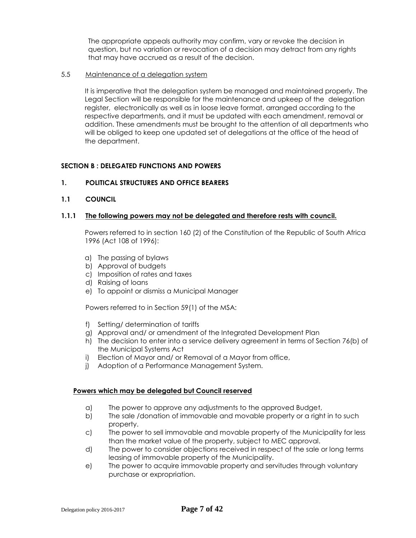The appropriate appeals authority may confirm, vary or revoke the decision in question, but no variation or revocation of a decision may detract from any rights that may have accrued as a result of the decision.

## 5.5 Maintenance of a delegation system

It is imperative that the delegation system be managed and maintained properly. The Legal Section will be responsible for the maintenance and upkeep of the delegation register, electronically as well as in loose leave format, arranged according to the respective departments, and it must be updated with each amendment, removal or addition. These amendments must be brought to the attention of all departments who will be obliged to keep one updated set of delegations at the office of the head of the department.

## **SECTION B : DELEGATED FUNCTIONS AND POWERS**

#### **1. POLITICAL STRUCTURES AND OFFICE BEARERS**

**1.1 COUNCIL**

#### **1.1.1 The following powers may not be delegated and therefore rests with council.**

Powers referred to in section 160 (2) of the Constitution of the Republic of South Africa 1996 (Act 108 of 1996):

- a) The passing of bylaws
- b) Approval of budgets
- c) Imposition of rates and taxes
- d) Raising of loans
- e) To appoint or dismiss a Municipal Manager

Powers referred to in Section 59(1) of the MSA:

- f) Setting/ determination of tariffs
- g) Approval and/ or amendment of the Integrated Development Plan
- h) The decision to enter into a service delivery agreement in terms of Section 76(b) of the Municipal Systems Act
- i) Election of Mayor and/ or Removal of a Mayor from office,
- j) Adoption of a Performance Management System.

#### **Powers which may be delegated but Council reserved**

- a) The power to approve any adjustments to the approved Budget,
- b) The sale /donation of immovable and movable property or a right in to such property.
- c) The power to sell immovable and movable property of the Municipality for less than the market value of the property, subject to MEC approval.
- d) The power to consider objections received in respect of the sale or long terms leasing of immovable property of the Municipality.
- e) The power to acquire immovable property and servitudes through voluntary purchase or expropriation.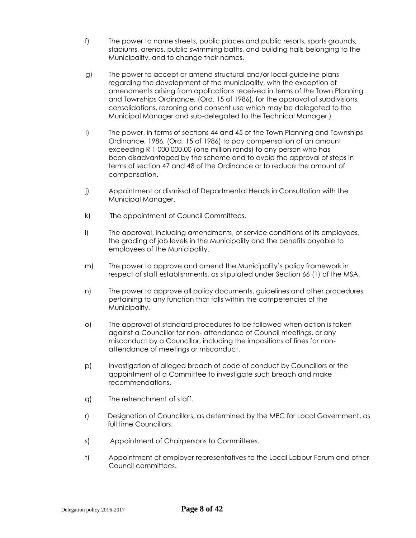- f) The power to name streets, public places and public resorts, sports grounds, stadiums, arenas, public swimming baths, and building halls belonging to the Municipality, and to change their names.
- g) The power to accept or amend structural and/or local guideline plans regarding the development of the municipality, with the exception of amendments arising from applications received in terms of the Town Planning and Townships Ordinance, (Ord. 15 of 1986), for the approval of subdivisions, consolidations, rezoning and consent use which may be delegated to the Municipal Manager and sub-delegated to the Technical Manager.)
- i) The power, in terms of sections 44 and 45 of the Town Planning and Townships Ordinance, 1986, (Ord. 15 of 1986) to pay compensation of an amount exceeding R 1 000 000.00 (one million rands) to any person who has been disadvantaged by the scheme and to avoid the approval of steps in terms of section 47 and 48 of the Ordinance or to reduce the amount of compensation.
- j) Appointment or dismissal of Departmental Heads in Consultation with the Municipal Manager.
- k) The appointment of Council Committees.
- l) The approval, including amendments, of service conditions of its employees, the grading of job levels in the Municipality and the benefits payable to employees of the Municipality.
- m) The power to approve and amend the Municipality's policy framework in respect of staff establishments, as stipulated under Section 66 (1) of the MSA.
- n) The power to approve all policy documents, guidelines and other procedures pertaining to any function that falls within the competencies of the Municipality.
- o) The approval of standard procedures to be followed when action is taken against a Councillor for non- attendance of Council meetings, or any misconduct by a Councillor, including the impositions of fines for nonattendance of meetings or misconduct.
- p) Investigation of alleged breach of code of conduct by Councillors or the appointment of a Committee to investigate such breach and make recommendations.
- q) The retrenchment of staff.
- r) Designation of Councillors, as determined by the MEC for Local Government, as full time Councillors.
- s) Appointment of Chairpersons to Committees.
- t) Appointment of employer representatives to the Local Labour Forum and other Council committees.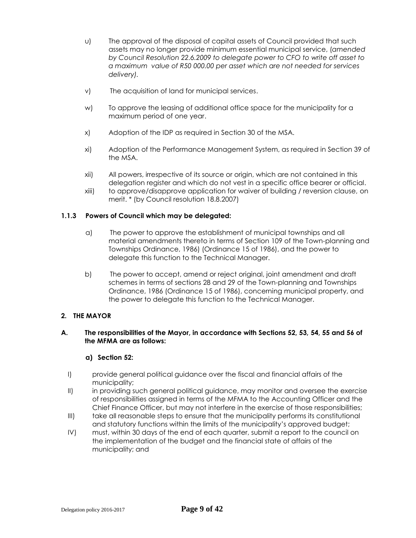- u) The approval of the disposal of capital assets of Council provided that such assets may no longer provide minimum essential municipal service, (*amended by Council Resolution 22.6.2009 to delegate power to CFO to write off asset to a maximum value of R50 000.00 per asset which are not needed for services delivery).*
- v) The acquisition of land for municipal services.
- w) To approve the leasing of additional office space for the municipality for a maximum period of one year.
- x) Adoption of the IDP as required in Section 30 of the MSA.
- xi) Adoption of the Performance Management System, as required in Section 39 of the MSA.
- xii) All powers, irrespective of its source or origin, which are not contained in this delegation register and which do not vest in a specific office bearer or official.
- xiii) to approve/disapprove application for waiver of building / reversion clause, on merit. \* (by Council resolution 18.8.2007)

## **1.1.3 Powers of Council which may be delegated:**

- a) The power to approve the establishment of municipal townships and all material amendments thereto in terms of Section 109 of the Town-planning and Townships Ordinance, 1986) (Ordinance 15 of 1986), and the power to delegate this function to the Technical Manager.
- b) The power to accept, amend or reject original, joint amendment and draft schemes in terms of sections 28 and 29 of the Town-planning and Townships Ordinance, 1986 (Ordinance 15 of 1986), concerning municipal property, and the power to delegate this function to the Technical Manager.

## **2. THE MAYOR**

## **A. The responsibilities of the Mayor, in accordance with Sections 52, 53, 54, 55 and 56 of the MFMA are as follows:**

## **a) Section 52:**

- I) provide general political guidance over the fiscal and financial affairs of the municipality;
- II) in providing such general political guidance, may monitor and oversee the exercise of responsibilities assigned in terms of the MFMA to the Accounting Officer and the Chief Finance Officer, but may not interfere in the exercise of those responsibilities;
- III) take all reasonable steps to ensure that the municipality performs its constitutional and statutory functions within the limits of the municipality's approved budget;
- IV) must, within 30 days of the end of each quarter, submit a report to the council on the implementation of the budget and the financial state of affairs of the municipality; and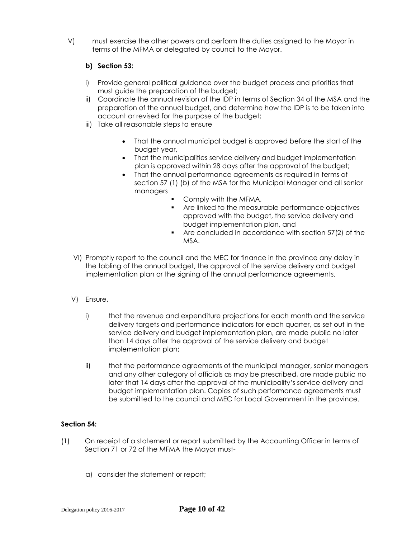V) must exercise the other powers and perform the duties assigned to the Mayor in terms of the MFMA or delegated by council to the Mayor.

# **b) Section 53:**

- i) Provide general political guidance over the budget process and priorities that must guide the preparation of the budget;
- ii) Coordinate the annual revision of the IDP in terms of Section 34 of the MSA and the preparation of the annual budget, and determine how the IDP is to be taken into account or revised for the purpose of the budget;
- iii) Take all reasonable steps to ensure
	- That the annual municipal budget is approved before the start of the budget year,
	- That the municipalities service delivery and budget implementation plan is approved within 28 days after the approval of the budget;
	- That the annual performance agreements as required in terms of section 57 (1) (b) of the MSA for the Municipal Manager and all senior managers
		- Comply with the MFMA,
		- Are linked to the measurable performance objectives approved with the budget, the service delivery and budget implementation plan, and
		- Are concluded in accordance with section 57(2) of the MSA.
- VI) Promptly report to the council and the MEC for finance in the province any delay in the tabling of the annual budget, the approval of the service delivery and budget implementation plan or the signing of the annual performance agreements.
- V) Ensure,
	- i) that the revenue and expenditure projections for each month and the service delivery targets and performance indicators for each quarter, as set out in the service delivery and budget implementation plan, are made public no later than 14 days after the approval of the service delivery and budget implementation plan;
	- ii) that the performance agreements of the municipal manager, senior managers and any other category of officials as may be prescribed, are made public no later that 14 days after the approval of the municipality's service delivery and budget implementation plan. Copies of such performance agreements must be submitted to the council and MEC for Local Government in the province.

# **Section 54:**

- (1) On receipt of a statement or report submitted by the Accounting Officer in terms of Section 71 or 72 of the MFMA the Mayor must
	- a) consider the statement or report;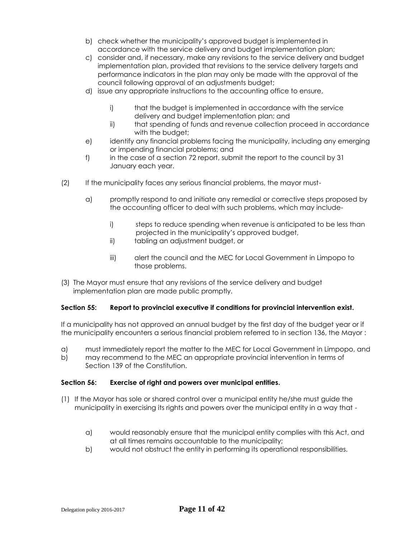- b) check whether the municipality's approved budget is implemented in accordance with the service delivery and budget implementation plan;
- c) consider and, if necessary, make any revisions to the service delivery and budget implementation plan, provided that revisions to the service delivery targets and performance indicators in the plan may only be made with the approval of the council following approval of an adjustments budget;
- d) issue any appropriate instructions to the accounting office to ensure,
	- i) that the budget is implemented in accordance with the service delivery and budget implementation plan; and
	- ii) that spending of funds and revenue collection proceed in accordance with the budget;
- e) identify any financial problems facing the municipality, including any emerging or impending financial problems; and
- f) in the case of a section 72 report, submit the report to the council by 31 January each year.
- (2) If the municipality faces any serious financial problems, the mayor must
	- a) promptly respond to and initiate any remedial or corrective steps proposed by the accounting officer to deal with such problems, which may include
		- i) steps to reduce spending when revenue is anticipated to be less than projected in the municipality's approved budget,
		- ii) tabling an adjustment budget, or
		- iii) alert the council and the MEC for Local Government in Limpopo to those problems.
- (3) The Mayor must ensure that any revisions of the service delivery and budget implementation plan are made public promptly.

## **Section 55: Report to provincial executive if conditions for provincial intervention exist.**

If a municipality has not approved an annual budget by the first day of the budget year or if the municipality encounters a serious financial problem referred to in section 136, the Mayor :

- a) must immediately report the matter to the MEC for Local Government in Limpopo, and
- b) may recommend to the MEC an appropriate provincial intervention in terms of Section 139 of the Constitution.

## **Section 56: Exercise of right and powers over municipal entities.**

- (1) If the Mayor has sole or shared control over a municipal entity he/she must guide the municipality in exercising its rights and powers over the municipal entity in a way that
	- a) would reasonably ensure that the municipal entity complies with this Act, and at all times remains accountable to the municipality;
	- b) would not obstruct the entity in performing its operational responsibilities.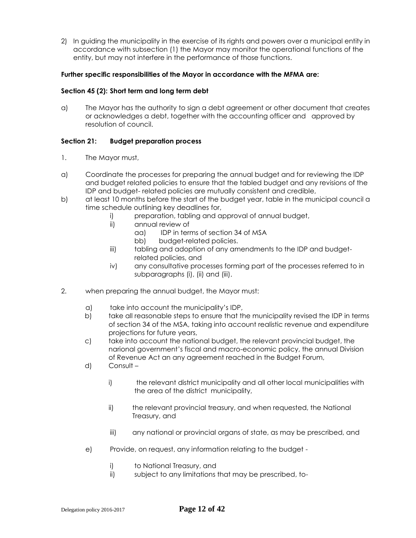2) In guiding the municipality in the exercise of its rights and powers over a municipal entity in accordance with subsection (1) the Mayor may monitor the operational functions of the entity, but may not interfere in the performance of those functions.

## **Further specific responsibilities of the Mayor in accordance with the MFMA are:**

## **Section 45 (2): Short term and long term debt**

a) The Mayor has the authority to sign a debt agreement or other document that creates or acknowledges a debt, together with the accounting officer and approved by resolution of council.

## **Section 21: Budget preparation process**

- 1. The Mayor must,
- a) Coordinate the processes for preparing the annual budget and for reviewing the IDP and budget related policies to ensure that the tabled budget and any revisions of the IDP and budget- related policies are mutually consistent and credible,
- b) at least 10 months before the start of the budget year, table in the municipal council a time schedule outlining key deadlines for,
	- i) preparation, tabling and approval of annual budget,
	- ii) annual review of
		- aa) IDP in terms of section 34 of MSA
		- bb) budget-related policies.
	- iii) tabling and adoption of any amendments to the IDP and budgetrelated policies, and
	- iv) any consultative processes forming part of the processes referred to in subparagraphs (i), (ii) and (iii).
- 2. when preparing the annual budget, the Mayor must:
	- a) take into account the municipality's IDP,
	- b) take all reasonable steps to ensure that the municipality revised the IDP in terms of section 34 of the MSA, taking into account realistic revenue and expenditure projections for future years,
	- c) take into account the national budget, the relevant provincial budget, the narional government's fiscal and macro-economic policy, the annual Division of Revenue Act an any agreement reached in the Budget Forum,
	- d) Consult
		- i) the relevant district municipality and all other local municipalities with the area of the district municipality,
		- ii) the relevant provincial treasury, and when requested, the National Treasury, and
		- iii) any national or provincial organs of state, as may be prescribed, and
	- e) Provide, on request, any information relating to the budget
		- i) to National Treasury, and
		- ii) subject to any limitations that may be prescribed, to-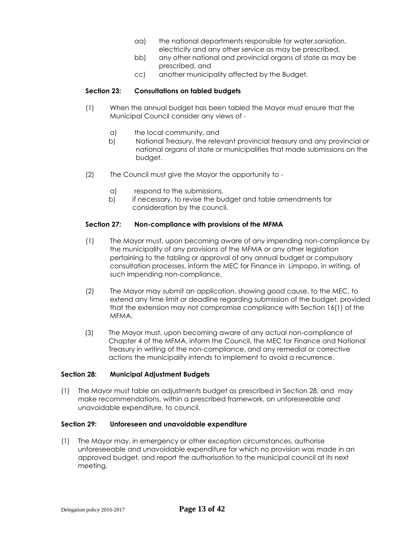- aa) the national departments responsible for water,saniation, electricity and any other service as may be prescribed,
- bb) any other national and provincial organs of state as may be prescribed, and
- cc) another municipality affected by the Budget.

#### **Section 23: Consultations on tabled budgets**

- (1) When the annual budget has been tabled the Mayor must ensure that the Municipal Council consider any views of
	- a) the local community, and
	- b) National Treasury, the relevant provincial treasury and any provincial or national organs of state or municipalities that made submissions on the budget.
- (2) The Council must give the Mayor the opportunity to
	- a) respond to the submissions,
	- b) if necessary, to revise the budget and table amendments for consideration by the council.

#### **Section 27: Non-compliance with provisions of the MFMA**

- (1) The Mayor must, upon becoming aware of any impending non-compliance by the municipality of any provisions of the MFMA or any other legislation pertaining to the tabling or approval of any annual budget or compulsory consultation processes, inform the MEC for Finance in Limpopo, in writing, of such impending non-compliance.
- (2) The Mayor may submit an application, showing good cause, to the MEC, to extend any time limit or deadline regarding submission of the budget, provided that the extension may not compromise compliance with Section 16(1) of the MFMA.
- (3) The Mayor must, upon becoming aware of any actual non-compliance of Chapter 4 of the MFMA, inform the Council, the MEC for Finance and National Treasury in writing of the non-compliance, and any remedial or corrective actions the municipality intends to implement to avoid a recurrence.

#### **Section 28: Municipal Adjustment Budgets**

(1) The Mayor must table an adjustments budget as prescribed in Section 28, and may make recommendations, within a prescribed framework, on unforeseeable and unavoidable expenditure, to council.

#### **Section 29: Unforeseen and unavoidable expenditure**

(1) The Mayor may, in emergency or other exception circumstances, authorise unforeseeable and unavoidable expenditure for which no provision was made in an approved budget, and report the authorisation to the municipal council at its next meeting.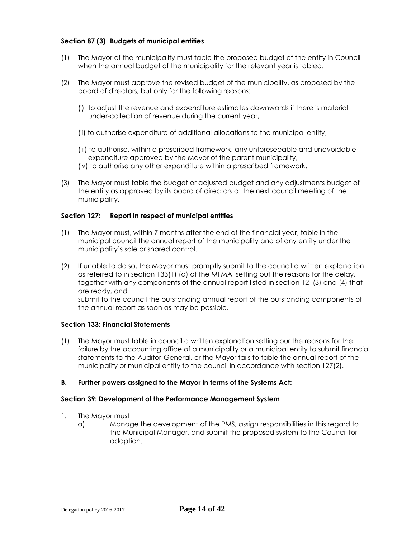## **Section 87 (3) Budgets of municipal entities**

- (1) The Mayor of the municipality must table the proposed budget of the entity in Council when the annual budget of the municipality for the relevant year is tabled.
- (2) The Mayor must approve the revised budget of the municipality, as proposed by the board of directors, but only for the following reasons:
	- (i) to adjust the revenue and expenditure estimates downwards if there is material under-collection of revenue during the current year,
	- (ii) to authorise expenditure of additional allocations to the municipal entity,
	- (iii) to authorise, within a prescribed framework, any unforeseeable and unavoidable expenditure approved by the Mayor of the parent municipality,
	- (iv) to authorise any other expenditure within a prescribed framework.
- (3) The Mayor must table the budget or adjusted budget and any adjustments budget of the entity as approved by its board of directors at the next council meeting of the municipality.

#### **Section 127: Report in respect of municipal entities**

- (1) The Mayor must, within 7 months after the end of the financial year, table in the municipal council the annual report of the municipality and of any entity under the municipality's sole or shared control.
- (2) If unable to do so, the Mayor must promptly submit to the council a written explanation as referred to in section 133(1) (a) of the MFMA, setting out the reasons for the delay, together with any components of the annual report listed in section 121(3) and (4) that are ready, and submit to the council the outstanding annual report of the outstanding components of the annual report as soon as may be possible.

## **Section 133: Financial Statements**

(1) The Mayor must table in council a written explanation setting our the reasons for the failure by the accounting office of a municipality or a municipal entity to submit financial statements to the Auditor-General, or the Mayor fails to table the annual report of the municipality or municipal entity to the council in accordance with section 127(2).

## **B. Further powers assigned to the Mayor in terms of the Systems Act:**

#### **Section 39: Development of the Performance Management System**

- 1. The Mayor must
	- a) Manage the development of the PMS, assign responsibilities in this regard to the Municipal Manager, and submit the proposed system to the Council for adoption.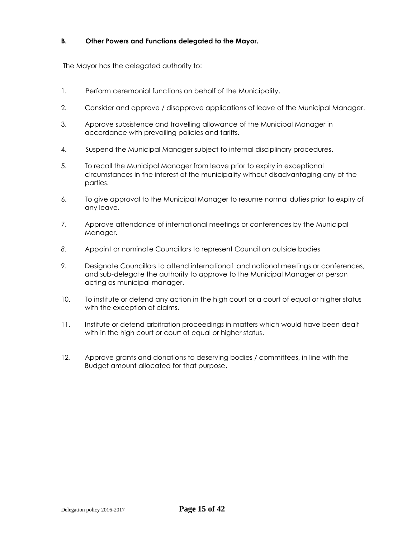## **B. Other Powers and Functions delegated to the Mayor.**

The Mayor has the delegated authority to:

- 1. Perform ceremonial functions on behalf of the Municipality.
- 2. Consider and approve / disapprove applications of leave of the Municipal Manager.
- 3. Approve subsistence and travelling allowance of the Municipal Manager in accordance with prevailing policies and tariffs.
- 4. Suspend the Municipal Manager subject to internal disciplinary procedures.
- 5. To recall the Municipal Manager from leave prior to expiry in exceptional circumstances in the interest of the municipality without disadvantaging any of the parties.
- 6. To give approval to the Municipal Manager to resume normal duties prior to expiry of any leave.
- 7. Approve attendance of international meetings or conferences by the Municipal Manager.
- *8.* Appoint or nominate Councillors to represent Council on outside bodies
- 9. Designate Councillors to attend internationa1 and national meetings or conferences, and sub-delegate the authority to approve to the Municipal Manager or person acting as municipal manager.
- 10. To institute or defend any action in the high court or a court of equal or higher status with the exception of claims.
- 11. Institute or defend arbitration proceedings in matters which would have been dealt with in the high court or court of equal or higher status.
- 12*.* Approve grants and donations to deserving bodies / committees, in line with the Budget amount allocated for that purpose.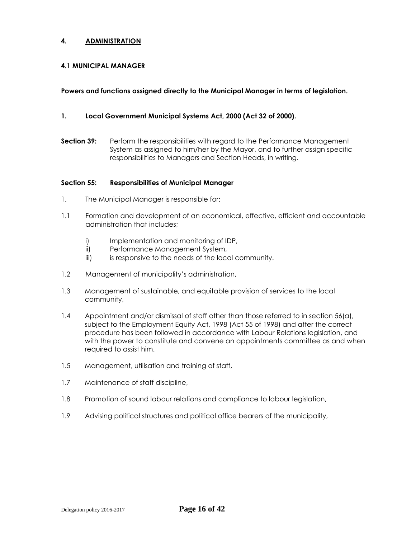## **4. ADMINISTRATION**

#### **4.1 MUNICIPAL MANAGER**

#### **Powers and functions assigned directly to the Municipal Manager in terms of legislation.**

## **1. Local Government Municipal Systems Act, 2000 (Act 32 of 2000).**

**Section 39:** Perform the responsibilities with regard to the Performance Management System as assigned to him/her by the Mayor, and to further assign specific responsibilities to Managers and Section Heads, in writing.

#### **Section 55: Responsibilities of Municipal Manager**

- 1. The Municipal Manager is responsible for:
- 1.1 Formation and development of an economical, effective, efficient and accountable administration that includes;
	- i) Implementation and monitoring of IDP,
	- ii) Performance Management System,
	- iii) is responsive to the needs of the local community.
- 1.2 Management of municipality's administration,
- 1.3 Management of sustainable, and equitable provision of services to the local community,
- 1.4 Appointment and/or dismissal of staff other than those referred to in section 56(a), subject to the Employment Equity Act, 1998 (Act 55 of 1998) and after the correct procedure has been followed in accordance with Labour Relations legislation, and with the power to constitute and convene an appointments committee as and when required to assist him.
- 1.5 Management, utilisation and training of staff,
- 1.7 Maintenance of staff discipline,
- 1.8 Promotion of sound labour relations and compliance to labour legislation,
- 1.9 Advising political structures and political office bearers of the municipality,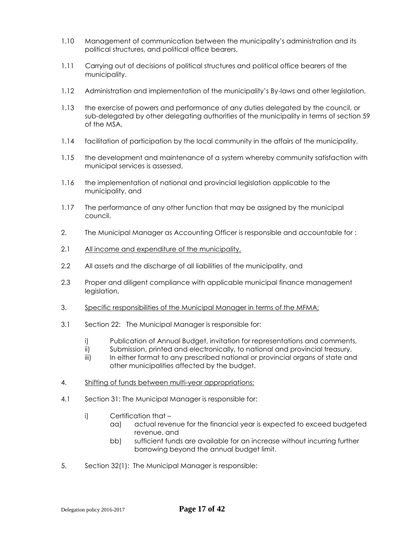- 1.10 Management of communication between the municipality's administration and its political structures, and political office bearers,
- 1.11 Carrying out of decisions of political structures and political office bearers of the municipality.
- 1.12 Administration and implementation of the municipality's By-laws and other legislation,
- 1.13 the exercise of powers and performance of any duties delegated by the council, or sub-delegated by other delegating authorities of the municipality in terms of section 59 of the MSA,
- 1.14 facilitation of participation by the local community in the affairs of the municipality,
- 1.15 the development and maintenance of a system whereby community satisfaction with municipal services is assessed,
- 1.16 the implementation of national and provincial legislation applicable to the municipality, and
- 1.17 The performance of any other function that may be assigned by the municipal council.
- 2. The Municipal Manager as Accounting Officer is responsible and accountable for :
- 2.1 All income and expenditure of the municipality,
- 2.2 All assets and the discharge of all liabilities of the municipality, and
- 2.3 Proper and diligent compliance with applicable municipal finance management legislation,
- 3. Specific responsibilities of the Municipal Manager in terms of the MFMA:
- 3.1 Section 22: The Municipal Manager is responsible for:
	- i) Publication of Annual Budget, invitation for representations and comments,
	- ii) Submission, printed and electronically, to national and provincial treasury,
	- iii) In either format to any prescribed national or provincial organs of state and other municipalities affected by the budget.
- 4. Shifting of funds between multi-year appropriations:
- 4.1 Section 31: The Municipal Manager is responsible for:
	- i) Certification that
		- aa) actual revenue for the financial year is expected to exceed budgeted revenue, and
		- bb) sufficient funds are available for an increase without incurring further borrowing beyond the annual budget limit.
- 5. Section 32(1): The Municipal Manager is responsible: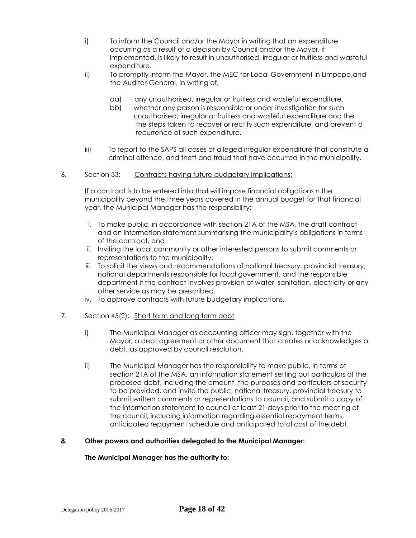- i) To inform the Council and/or the Mayor in writing that an expenditure occurring as a result of a decision by Council and/or the Mayor, if implemented, is likely to result in unauthorised, irregular or fruitless and wasteful expenditure.
- ii) To promptly inform the Mayor, the MEC for Local Government in Limpopo,and the Auditor-General, in writing of,
	- aa) any unauthorised, irregular or fruitless and wasteful expenditure,
	- bb) whether any person is responsible or under investigation for such unauthorised, irregular or fruitless and wasteful expenditure and the the steps taken to recover or rectify such expenditure, and prevent a recurrence of such expenditure.
- iii) To report to the SAPS all cases of alleged irregular expenditure that constitute a criminal offence, and theft and fraud that have occurred in the municipality.
- 6. Section 33: Contracts having future budgetary implications:

If a contract is to be entered into that will impose financial obligations n the municipality beyond the three years covered in the annual budget for that financial year, the Municipal Manager has the responsibility:

- i. To make public, in accordance with section 21A of the MSA, the draft contract and an information statement summarising the municipality's obligations in terms of the contract, and
- ii. Inviting the local community or other interested persons to submit comments or representations to the municipality,
- iii. To solicit the views and recommendations of national treasury, provincial treasury, national departments responsible for local government, and the responsible department if the contract involves provision of water, sanitation, electricity or any other service as may be prescribed.
- iv. To approve contracts with future budgetary implications.
- 7. Section 45(2): Short term and long term debt
	- i) The Municipal Manager as accounting officer may sign, together with the Mayor, a debt agreement or other document that creates or acknowledges a debt, as approved by council resolution.
	- ii) The Municipal Manager has the responsibility to make public, in terms of section 21A of the MSA, an information statement setting out particulars of the proposed debt, including the amount, the purposes and particulars of security to be provided, and invite the public, national treasury, provincial treasury to submit written comments or representations to council, and submit a copy of the information statement to council at least 21 days prior to the meeting of the council, including information regarding essential repayment terms, anticipated repayment schedule and anticipated total cost of the debt.

## **8. Other powers and authorities delegated to the Municipal Manager:**

#### **The Municipal Manager has the authority to:**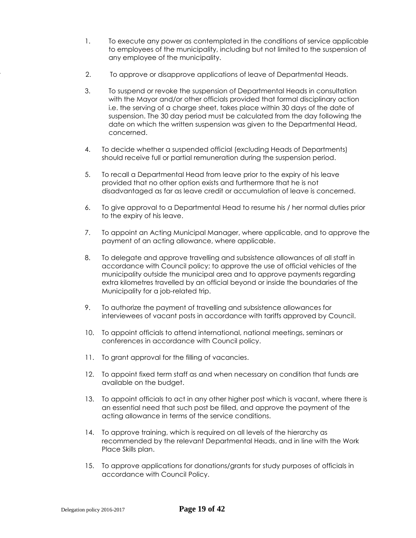- 1. To execute any power as contemplated in the conditions of service applicable to employees of the municipality, including but not limited to the suspension of any employee of the municipality.
- 2. To approve or disapprove applications of leave of Departmental Heads.
- 3. To suspend or revoke the suspension of Departmental Heads in consultation with the Mayor and/or other officials provided that formal disciplinary action i.e. the serving of a charge sheet, takes place within 30 days of the date of suspension. The 30 day period must be calculated from the day following the date on which the written suspension was given to the Departmental Head, concerned.
- 4. To decide whether a suspended official (excluding Heads of Departments) should receive full or partial remuneration during the suspension period.
- 5. To recall a Departmental Head from leave prior to the expiry of his leave provided that no other option exists and furthermore that he is not disadvantaged as far as leave credit or accumulation of leave is concerned.
- 6. To give approval to a Departmental Head to resume his / her normal duties prior to the expiry of his leave.
- 7. To appoint an Acting Municipal Manager, where applicable, and to approve the payment of an acting allowance, where applicable.
- 8. To delegate and approve travelling and subsistence allowances of all staff in accordance with Council policy; to approve the use of official vehicles of the municipality outside the municipal area and to approve payments regarding extra kilometres travelled by an official beyond or inside the boundaries of the Municipality for a job-related trip.
- 9. To authorize the payment of travelling and subsistence allowances for interviewees of vacant posts in accordance with tariffs approved by Council.
- 10. To appoint officials to attend international, national meetings, seminars or conferences in accordance with Council policy.
- 11. To grant approval for the filling of vacancies.
- 12. To appoint fixed term staff as and when necessary on condition that funds are available on the budget.
- 13. To appoint officials to act in any other higher post which is vacant, where there is an essential need that such post be filled, and approve the payment of the acting allowance in terms of the service conditions.
- 14. To approve training, which is required on all levels of the hierarchy as recommended by the relevant Departmental Heads, and in line with the Work Place Skills plan.
- 15. To approve applications for donations/grants for study purposes of officials in accordance with Council Policy.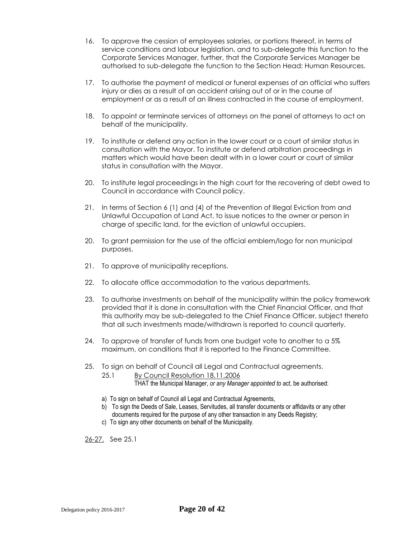- 16. To approve the cession of employees salaries, or portions thereof, in terms of service conditions and labour legislation, and to sub-delegate this function to the Corporate Services Manager, further, that the Corporate Services Manager be authorised to sub-delegate the function to the Section Head: Human Resources.
- 17. To authorise the payment of medical or funeral expenses of an official who suffers injury or dies as a result of an accident arising out of or in the course of employment or as a result of an illness contracted in the course of employment.
- 18. To appoint or terminate services of attorneys on the panel of attorneys to act on behalf of the municipality.
- 19. To institute or defend any action in the lower court or a court of similar status in consultation with the Mayor. To institute or defend arbitration proceedings in matters which would have been dealt with in a lower court or court of similar status in consultation with the Mayor.
- 20. To institute legal proceedings in the high court for the recovering of debt owed to Council in accordance with Council policy.
- 21. In terms of Section 6 (1) and (4) of the Prevention of Illegal Eviction from and Unlawful Occupation of Land Act, to issue notices to the owner or person in charge of specific land, for the eviction of unlawful occupiers.
- 20. To grant permission for the use of the official emblem/logo for non municipal purposes.
- 21. To approve of municipality receptions.
- 22. To allocate office accommodation to the various departments.
- 23. To authorise investments on behalf of the municipality within the policy framework provided that it is done in consultation with the Chief Financial Officer, and that this authority may be sub-delegated to the Chief Finance Officer, subject thereto that all such investments made/withdrawn is reported to council quarterly.
- 24. To approve of transfer of funds from one budget vote to another to a 5% maximum, on conditions that it is reported to the Finance Committee.
- 25. To sign on behalf of Council all Legal and Contractual agreements.
	- 25.1 By Council Resolution 18.11.2006 THAT the Municipal Manager, *or any Manager appointed to act*, be authorised:
		-
	- a) To sign on behalf of Council all Legal and Contractual Agreements,
	- b) To sign the Deeds of Sale, Leases, Servitudes, all transfer documents or affidavits or any other documents required for the purpose of any other transaction in any Deeds Registry;
	- c) To sign any other documents on behalf of the Municipality.

26-27. See 25.1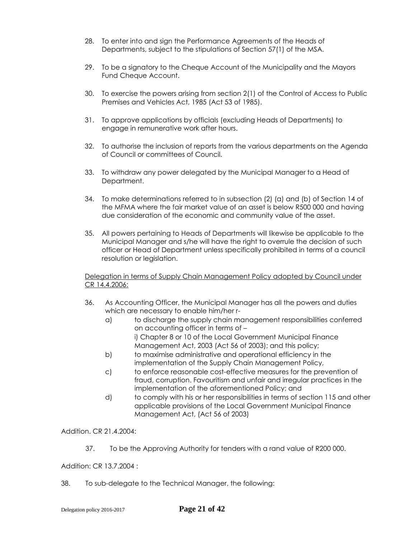- 28. To enter into and sign the Performance Agreements of the Heads of Departments, subject to the stipulations of Section 57(1) of the MSA.
- 29. To be a signatory to the Cheque Account of the Municipality and the Mayors Fund Cheque Account.
- 30. To exercise the powers arising from section 2(1) of the Control of Access to Public Premises and Vehicles Act, 1985 (Act 53 of 1985).
- 31. To approve applications by officials (excluding Heads of Departments) to engage in remunerative work after hours.
- 32. To authorise the inclusion of reports from the various departments on the Agenda of Council or committees of Council.
- 33. To withdraw any power delegated by the Municipal Manager to a Head of Department.
- 34. To make determinations referred to in subsection (2) (a) and (b) of Section 14 of the MFMA where the fair market value of an asset is below R500 000 and having due consideration of the economic and community value of the asset.
- 35. All powers pertaining to Heads of Departments will likewise be applicable to the Municipal Manager and s/he will have the right to overrule the decision of such officer or Head of Department unless specifically prohibited in terms of a council resolution or legislation.

Delegation in terms of Supply Chain Management Policy adopted by Council under CR 14.4.2006:

- 36. As Accounting Officer, the Municipal Manager has all the powers and duties which are necessary to enable him/her r
	- a) to discharge the supply chain management responsibilities conferred on accounting officer in terms of – i) Chapter 8 or 10 of the Local Government Municipal Finance Management Act, 2003 (Act 56 of 2003); and this policy;
	- b) to maximise administrative and operational efficiency in the implementation of the Supply Chain Management Policy,
	- c) to enforce reasonable cost-effective measures for the prevention of fraud, corruption. Favouritism and unfair and irregular practices in the implementation of the aforementioned Policy; and
	- d) to comply with his or her responsibilities in terms of section 115 and other applicable provisions of the Local Government Municipal Finance Management Act, (Act 56 of 2003)

Addition. CR 21.4.2004:

37. To be the Approving Authority for tenders with a rand value of R200 000.

Addition: CR 13.7.2004 :

38. To sub-delegate to the Technical Manager, the following: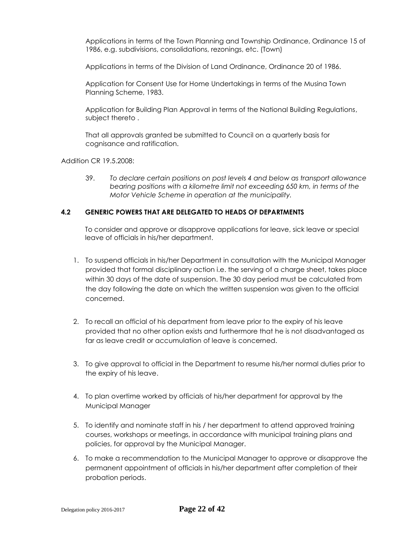Applications in terms of the Town Planning and Township Ordinance, Ordinance 15 of 1986, e.g. subdivisions, consolidations, rezonings, etc. (Town)

Applications in terms of the Division of Land Ordinance, Ordinance 20 of 1986.

Application for Consent Use for Home Undertakings in terms of the Musina Town Planning Scheme, 1983.

Application for Building Plan Approval in terms of the National Building Regulations, subject thereto .

That all approvals granted be submitted to Council on a quarterly basis for cognisance and ratification.

Addition CR 19.5.2008:

39. *To declare certain positions on post levels 4 and below as transport allowance bearing positions with a kilometre limit not exceeding 650 km, in terms of the Motor Vehicle Scheme in operation at the municipality.* 

#### **4.2 GENERIC POWERS THAT ARE DELEGATED TO HEADS OF DEPARTMENTS**

To consider and approve or disapprove applications for leave, sick leave or special leave of officials in his/her department.

- 1. To suspend officials in his/her Department in consultation with the Municipal Manager provided that formal disciplinary action i.e. the serving of a charge sheet, takes place within 30 days of the date of suspension. The 30 day period must be calculated from the day following the date on which the written suspension was given to the official concerned.
- 2. To recall an official of his department from leave prior to the expiry of his leave provided that no other option exists and furthermore that he is not disadvantaged as far as leave credit or accumulation of leave is concerned.
- 3. To give approval to official in the Department to resume his/her normal duties prior to the expiry of his leave.
- 4. To plan overtime worked by officials of his/her department for approval by the Municipal Manager
- 5. To identify and nominate staff in his / her department to attend approved training courses, workshops or meetings, in accordance with municipal training plans and policies, for approval by the Municipal Manager.
- 6. To make a recommendation to the Municipal Manager to approve or disapprove the permanent appointment of officials in his/her department after completion of their probation periods.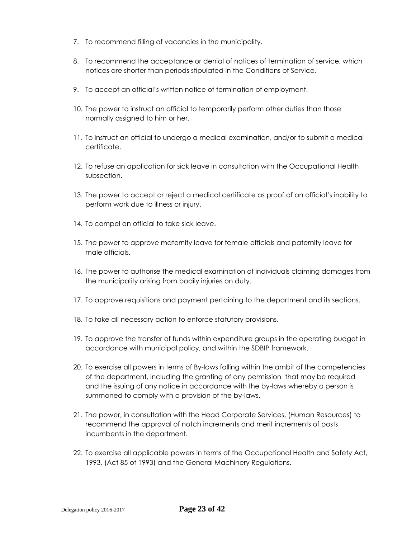- 7. To recommend filling of vacancies in the municipality.
- 8. To recommend the acceptance or denial of notices of termination of service, which notices are shorter than periods stipulated in the Conditions of Service.
- 9. To accept an official's written notice of termination of employment.
- 10. The power to instruct an official to temporarily perform other duties than those normally assigned to him or her.
- 11. To instruct an official to undergo a medical examination, and/or to submit a medical certificate.
- 12. To refuse an application for sick leave in consultation with the Occupational Health subsection.
- 13. The power to accept or reject a medical certificate as proof of an official's inability to perform work due to illness or injury.
- 14. To compel an official to take sick leave.
- 15. The power to approve maternity leave for female officials and paternity leave for male officials.
- 16. The power to authorise the medical examination of individuals claiming damages from the municipality arising from bodily injuries on duty.
- 17. To approve requisitions and payment pertaining to the department and its sections.
- 18. To take all necessary action to enforce statutory provisions.
- 19. To approve the transfer of funds within expenditure groups in the operating budget in accordance with municipal policy, and within the SDBIP framework.
- 20. To exercise all powers in terms of By-laws falling within the ambit of the competencies of the department, including the granting of any permission that may be required and the issuing of any notice in accordance with the by-laws whereby a person is summoned to comply with a provision of the by-laws.
- 21. The power, in consultation with the Head Corporate Services, (Human Resources) to recommend the approval of notch increments and merit increments of posts incumbents in the department.
- 22. To exercise all applicable powers in terms of the Occupational Health and Safety Act, 1993, (Act 85 of 1993) and the General Machinery Regulations.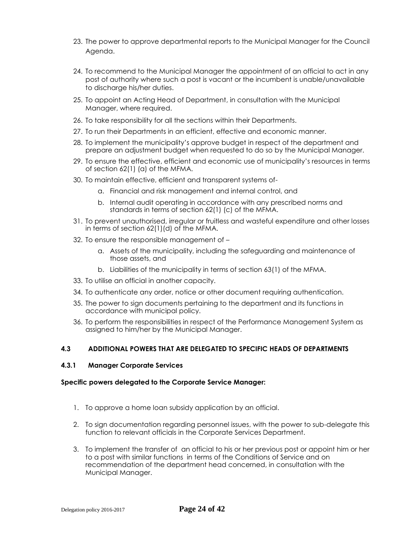- 23. The power to approve departmental reports to the Municipal Manager for the Council Agenda.
- 24. To recommend to the Municipal Manager the appointment of an official to act in any post of authority where such a post is vacant or the incumbent is unable/unavailable to discharge his/her duties.
- 25. To appoint an Acting Head of Department, in consultation with the Municipal Manager, where required.
- 26. To take responsibility for all the sections within their Departments.
- 27. To run their Departments in an efficient, effective and economic manner.
- 28. To implement the municipality's approve budget in respect of the department and prepare an adjustment budget when requested to do so by the Municipal Manager.
- 29. To ensure the effective, efficient and economic use of municipality's resources in terms of section 62(1) (a) of the MFMA.
- 30. To maintain effective, efficient and transparent systems of
	- a. Financial and risk management and internal control, and
	- b. Internal audit operating in accordance with any prescribed norms and standards in terms of section 62(1) (c) of the MFMA.
- 31. To prevent unauthorised, irregular or fruitless and wasteful expenditure and other losses in terms of section 62(1)(d) of the MFMA.
- 32. To ensure the responsible management of
	- a. Assets of the municipality, including the safeguarding and maintenance of those assets, and
	- b. Liabilities of the municipality in terms of section 63(1) of the MFMA.
- 33. To utilise an official in another capacity.
- 34. To authenticate any order, notice or other document requiring authentication.
- 35. The power to sign documents pertaining to the department and its functions in accordance with municipal policy.
- 36. To perform the responsibilities in respect of the Performance Management System as assigned to him/her by the Municipal Manager.

# **4.3 ADDITIONAL POWERS THAT ARE DELEGATED TO SPECIFIC HEADS OF DEPARTMENTS**

#### **4.3.1 Manager Corporate Services**

#### **Specific powers delegated to the Corporate Service Manager:**

- 1. To approve a home loan subsidy application by an official.
- 2. To sign documentation regarding personnel issues, with the power to sub-delegate this function to relevant officials in the Corporate Services Department.
- 3. To implement the transfer of an official to his or her previous post or appoint him or her to a post with similar functions in terms of the Conditions of Service and on recommendation of the department head concerned, in consultation with the Municipal Manager.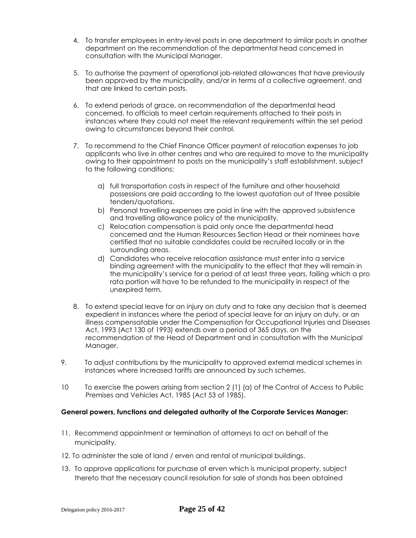- 4. To transfer employees in entry-level posts in one department to similar posts in another department on the recommendation of the departmental head concerned in consultation with the Municipal Manager.
- 5. To authorise the payment of operational job-related allowances that have previously been approved by the municipality, and/or in terms of a collective agreement, and that are linked to certain posts.
- 6. To extend periods of grace, on recommendation of the departmental head concerned, to officials to meet certain requirements attached to their posts in instances where they could not meet the relevant requirements within the set period owing to circumstances beyond their control.
- 7. To recommend to the Chief Finance Officer payment of relocation expenses to job applicants who live in other centres and who are required to move to the municipality owing to their appointment to posts on the municipality's staff establishment, subject to the following conditions:
	- a) full transportation costs in respect of the furniture and other household possessions are paid according to the lowest quotation out of three possible tenders/quotations.
	- b) Personal travelling expenses are paid in line with the approved subsistence and travelling allowance policy of the municipality.
	- c) Relocation compensation is paid only once the departmental head concerned and the Human Resources Section Head or their nominees have certified that no suitable candidates could be recruited locally or in the surrounding areas.
	- d) Candidates who receive relocation assistance must enter into a service binding agreement with the municipality to the effect that they will remain in the municipality's service for a period of at least three years, failing which a pro rata portion will have to be refunded to the municipality in respect of the unexpired term.
- 8. To extend special leave for an injury on duty and to take any decision that is deemed expedient in instances where the period of special leave for an injury on duty, or an illness compensatable under the Compensation for Occupational Injuries and Diseases Act, 1993 (Act 130 of 1993) extends over a period of 365 days, on the recommendation of the Head of Department and in consultation with the Municipal Manager.
- 9. To adjust contributions by the municipality to approved external medical schemes in instances where increased tariffs are announced by such schemes.
- 10 To exercise the powers arising from section 2 (1) (a) of the Control of Access to Public Premises and Vehicles Act, 1985 (Act 53 of 1985).

## **General powers, functions and delegated authority of the Corporate Services Manager:**

- 11. Recommend appointment or termination of attorneys to act on behalf of the municipality.
- 12. To administer the sale of land / erven and rental of municipal buildings.
- 13. To approve applications for purchase of erven which is municipal property, subject thereto that the necessary council resolution for sale of stands has been obtained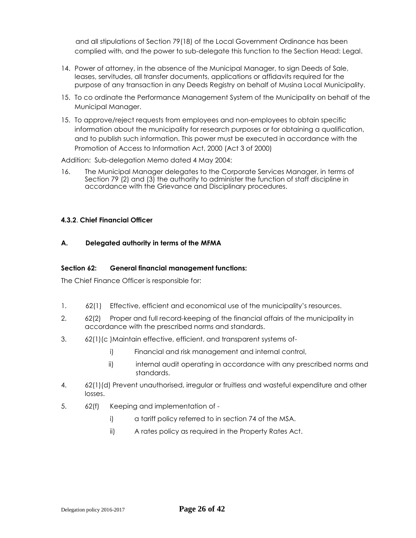and all stipulations of Section 79(18) of the Local Government Ordinance has been complied with, and the power to sub-delegate this function to the Section Head: Legal.

- 14. Power of attorney, in the absence of the Municipal Manager, to sign Deeds of Sale, leases, servitudes, all transfer documents, applications or affidavits required for the purpose of any transaction in any Deeds Registry on behalf of Musina Local Municipality.
- 15. To co ordinate the Performance Management System of the Municipality on behalf of the Municipal Manager.
- 15. To approve/reject requests from employees and non-employees to obtain specific information about the municipality for research purposes or for obtaining a qualification, and to publish such information. This power must be executed in accordance with the Promotion of Access to Information Act, 2000 (Act 3 of 2000)

Addition: Sub-delegation Memo dated 4 May 2004:

16. The Municipal Manager delegates to the Corporate Services Manager, in terms of Section 79 (2) and (3) the authority to administer the function of staff discipline in accordance with the Grievance and Disciplinary procedures.

### **4.3.2**. **Chief Financial Officer**

## **A. Delegated authority in terms of the MFMA**

#### **Section 62: General financial management functions:**

The Chief Finance Officer is responsible for:

- 1. 62(1) Effective, efficient and economical use of the municipality's resources.
- 2. 62(2) Proper and full record-keeping of the financial affairs of the municipality in accordance with the prescribed norms and standards.
- 3. 62(1)(c )Maintain effective, efficient, and transparent systems of
	- i) Financial and risk management and internal control,
	- ii) internal audit operating in accordance with any prescribed norms and standards.
- 4. 62(1)(d) Prevent unauthorised, irregular or fruitless and wasteful expenditure and other losses.
- 5. 62(f) Keeping and implementation of
	- i) a tariff policy referred to in section 74 of the MSA.
	- ii) A rates policy as required in the Property Rates Act.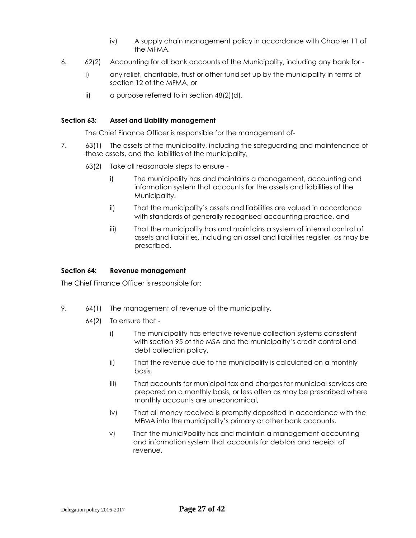- iv) A supply chain management policy in accordance with Chapter 11 of the MFMA.
- 6. 62(2) Accounting for all bank accounts of the Municipality, including any bank for
	- i) any relief, charitable, trust or other fund set up by the municipality in terms of section 12 of the MFMA, or
	- ii) a purpose referred to in section 48(2)(d).

#### **Section 63: Asset and Liability management**

The Chief Finance Officer is responsible for the management of-

- 7. 63(1) The assets of the municipality, including the safeguarding and maintenance of those assets, and the liabilities of the municipality,
	- 63(2) Take all reasonable steps to ensure
		- i) The municipality has and maintains a management, accounting and information system that accounts for the assets and liabilities of the Municipality.
		- ii) That the municipality's assets and liabilities are valued in accordance with standards of generally recognised accounting practice, and
		- iii) That the municipality has and maintains a system of internal control of assets and liabilities, including an asset and liabilities register, as may be prescribed.

#### **Section 64: Revenue management**

The Chief Finance Officer is responsible for:

- 9. 64(1) The management of revenue of the municipality,
	- 64(2) To ensure that
		- i) The municipality has effective revenue collection systems consistent with section 95 of the MSA and the municipality's credit control and debt collection policy,
		- ii) That the revenue due to the municipality is calculated on a monthly basis,
		- iii) That accounts for municipal tax and charges for municipal services are prepared on a monthly basis, or less often as may be prescribed where monthly accounts are uneconomical,
		- iv) That all money received is promptly deposited in accordance with the MFMA into the municipality's primary or other bank accounts,
		- v) That the munici9pality has and maintain a management accounting and information system that accounts for debtors and receipt of revenue,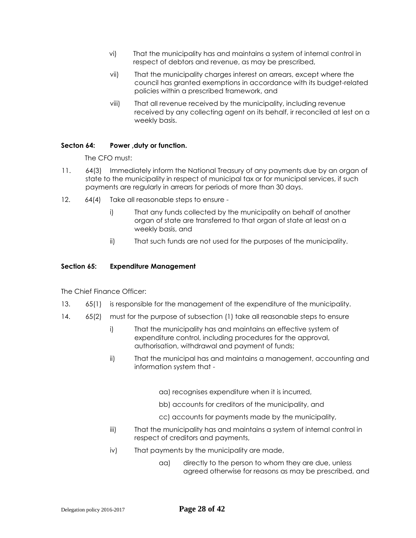- vi) That the municipality has and maintains a system of internal control in respect of debtors and revenue, as may be prescribed,
- vii) That the municipality charges interest on arrears, except where the council has granted exemptions in accordance with its budget-related policies within a prescribed framework, and
- viii) That all revenue received by the municipality, including revenue received by any collecting agent on its behalf, ir reconciled at lest on a weekly basis.

## **Secton 64: Power ,duty or function.**

The CFO must:

- 11. 64(3) Immediately inform the National Treasury of any payments due by an organ of state to the municipality in respect of municipal tax or for municipal services, if such payments are regularly in arrears for periods of more than 30 days.
- 12. 64(4) Take all reasonable steps to ensure
	- i) That any funds collected by the municipality on behalf of another organ of state are transferred to that organ of state at least on a weekly basis, and
	- ii) That such funds are not used for the purposes of the municipality.

#### **Section 65: Expenditure Management**

The Chief Finance Officer:

- 13. 65(1) is responsible for the management of the expenditure of the municipality.
- 14. 65(2) must for the purpose of subsection (1) take all reasonable steps to ensure
	- i) That the municipality has and maintains an effective system of expenditure control, including procedures for the approval, authorisation, withdrawal and payment of funds;
	- ii) That the municipal has and maintains a management, accounting and information system that
		- aa) recognises expenditure when it is incurred,
		- bb) accounts for creditors of the municipality, and
		- cc) accounts for payments made by the municipality,
	- iii) That the municipality has and maintains a system of internal control in respect of creditors and payments,
	- iv) That payments by the municipality are made,
		- aa) directly to the person to whom they are due, unless agreed otherwise for reasons as may be prescribed, and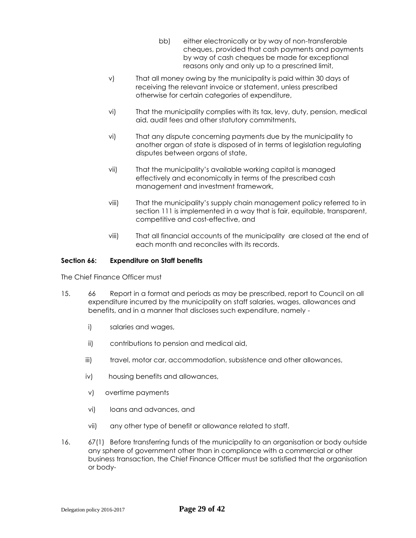- bb) either electronically or by way of non-transferable cheques, provided that cash payments and payments by way of cash cheques be made for exceptional reasons only and only up to a prescrined limit,
- v) That all money owing by the municipality is paid within 30 days of receiving the relevant invoice or statement, unless prescribed otherwise for certain categories of expenditure,
- vi) That the municipality complies with its tax, levy, duty, pension, medical aid, audit fees and other statutory commitments,
- vi) That any dispute concerning payments due by the municipality to another organ of state is disposed of in terms of legislation regulating disputes between organs of state,
- vii) That the municipality's available working capital is managed effectively and economically in terms of the prescribed cash management and investment framework,
- viii) That the municipality's supply chain management policy referred to in section 111 is implemented in a way that is fair, equitable, transparent, competitive and cost-effective, and
- viii) That all financial accounts of the municipality are closed at the end of each month and reconciles with its records.

#### **Section 66: Expenditure on Staff benefits**

The Chief Finance Officer must

- 15. 66 Report in a format and periods as may be prescribed, report to Council on all expenditure incurred by the municipality on staff salaries, wages, allowances and benefits, and in a manner that discloses such expenditure, namely
	- i) salaries and wages,
	- ii) contributions to pension and medical aid,
	- iii) travel, motor car, accommodation, subsistence and other allowances,
	- iv) housing benefits and allowances,
	- v) overtime payments
	- vi) loans and advances, and
	- vii) any other type of benefit or allowance related to staff.
- 16. 67(1) Before transferring funds of the municipality to an organisation or body outside any sphere of government other than in compliance with a commercial or other business transaction, the Chief Finance Officer must be satisfied that the organisation or body-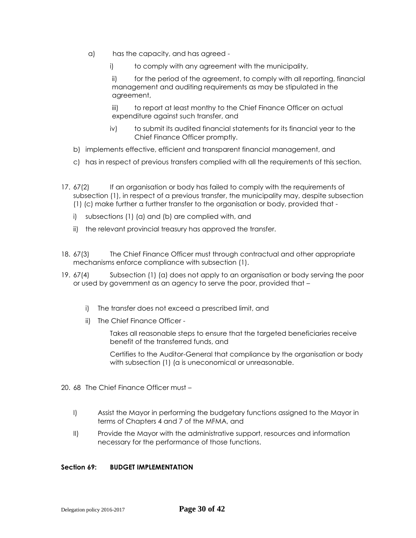- a) has the capacity, and has agreed
	- i) to comply with any agreement with the municipality,

ii) for the period of the agreement, to comply with all reporting, financial management and auditing requirements as may be stipulated in the agreement,

iii) to report at least monthy to the Chief Finance Officer on actual expenditure against such transfer, and

- iv) to submit its audited financial statements for its financial year to the Chief Finance Officer promptly.
- b) implements effective, efficient and transparent financial management, and
- c) has in respect of previous transfers complied with all the requirements of this section.
- 17. 67(2) If an organisation or body has failed to comply with the requirements of subsection (1), in respect of a previous transfer, the municipality may, despite subsection (1) (c) make further a further transfer to the organisation or body, provided that
	- i) subsections (1) (a) and (b) are complied with, and
	- ii) the relevant provincial treasury has approved the transfer.
- 18. 67(3) The Chief Finance Officer must through contractual and other appropriate mechanisms enforce compliance with subsection (1).
- 19. 67(4) Subsection (1) (a) does not apply to an organisation or body serving the poor or used by government as an agency to serve the poor, provided that –
	- i) The transfer does not exceed a prescribed limit, and
	- ii) The Chief Finance Officer -

Takes all reasonable steps to ensure that the targeted beneficiaries receive benefit of the transferred funds, and

Certifies to the Auditor-General that compliance by the organisation or body with subsection (1) (a is uneconomical or unreasonable.

- 20. 68 The Chief Finance Officer must
	- I) Assist the Mayor in performing the budgetary functions assigned to the Mayor in terms of Chapters 4 and 7 of the MFMA, and
	- II) Provide the Mayor with the administrative support, resources and information necessary for the performance of those functions.

#### **Section 69: BUDGET IMPLEMENTATION**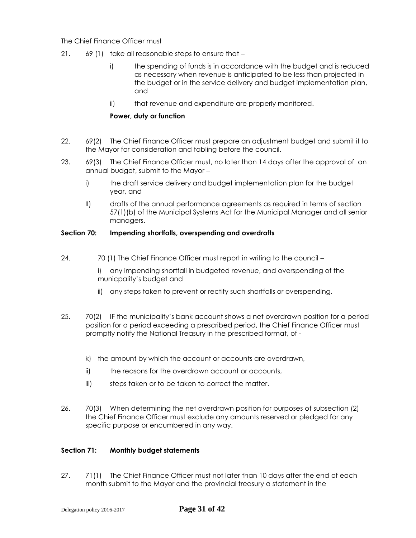## The Chief Finance Officer must

- 21. 69 (1) take all reasonable steps to ensure that
	- i) the spending of funds is in accordance with the budget and is reduced as necessary when revenue is anticipated to be less than projected in the budget or in the service delivery and budget implementation plan, and
	- ii) that revenue and expenditure are properly monitored.

## **Power, duty or function**

- 22. 69(2) The Chief Finance Officer must prepare an adjustment budget and submit it to the Mayor for consideration and tabling before the council.
- 23. 69(3) The Chief Finance Officer must, no later than 14 days after the approval of an annual budget, submit to the Mayor –
	- i) the draft service delivery and budget implementation plan for the budget year, and
	- II) drafts of the annual performance agreements as required in terms of section 57(1)(b) of the Municipal Systems Act for the Municipal Manager and all senior managers.

## **Section 70: Impending shortfalls, overspending and overdrafts**

24. 70 (1) The Chief Finance Officer must report in writing to the council –

i) any impending shortfall in budgeted revenue, and overspending of the municpality's budget and

- ii) any steps taken to prevent or rectify such shortfalls or overspending.
- 25. 70(2) IF the municipality's bank account shows a net overdrawn position for a period position for a period exceeding a prescribed period, the Chief Finance Officer must promptly notify the National Treasury in the prescribed format, of
	- k) the amount by which the account or accounts are overdrawn,
	- ii) the reasons for the overdrawn account or accounts,
	- iii) steps taken or to be taken to correct the matter.
- 26. 70(3) When determining the net overdrawn position for purposes of subsection (2) the Chief Finance Officer must exclude any amounts reserved or pledged for any specific purpose or encumbered in any way.

## **Section 71: Monthly budget statements**

27. 71(1) The Chief Finance Officer must not later than 10 days after the end of each month submit to the Mayor and the provincial treasury a statement in the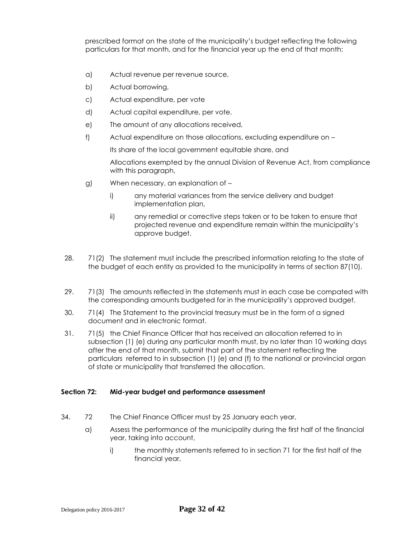prescribed format on the state of the municipality's budget reflecting the following particulars for that month, and for the financial year up the end of that month:

- a) Actual revenue per revenue source,
- b) Actual borrowing,
- c) Actual expenditure, per vote
- d) Actual capital expenditure, per vote.
- e) The amount of any allocations received,
- f) Actual expenditure on those allocations, excluding expenditure on –

Its share of the local government equitable share, and

Allocations exempted by the annual Division of Revenue Act, from compliance with this paragraph,

- g) When necessary, an explanation of
	- i) any material variances from the service delivery and budget implementation plan,
	- ii) any remedial or corrective steps taken or to be taken to ensure that projected revenue and expenditure remain within the municipality's approve budget.
- 28. 71(2) The statement must include the prescribed information relating to the state of the budget of each entity as provided to the municipality in terms of section 87(10).
- 29. 71(3) The amounts reflected in the statements must in each case be compated with the corresponding amounts budgeted for in the municipality's approved budget.
- 30. 71(4) The Statement to the provincial treasury must be in the form of a signed document and in electronic format.
- 31. 71(5) the Chief Finance Officer that has received an allocation referred to in subsection (1) (e) during any particular month must, by no later than 10 working days after the end of that month, submit that part of the statement reflecting the particulars referred to in subsection (1) (e) and (f) to the national or provincial organ of state or municipality that transferred the allocation.

## **Section 72: Mid-year budget and performance assessment**

- 34. 72 The Chief Finance Officer must by 25 January each year,
	- a) Assess the performance of the municipality during the first half of the financial year, taking into account,
		- i) the monthly statements referred to in section 71 for the first half of the financial year,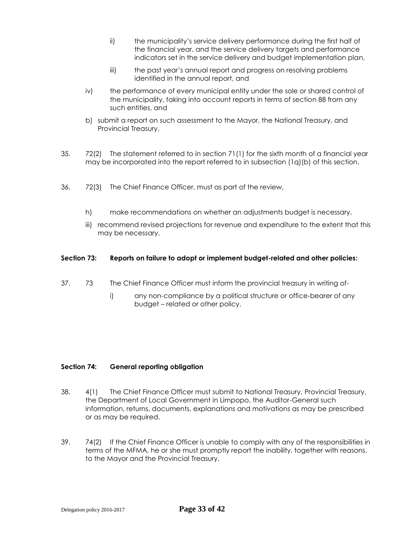- ii) the municipality's service delivery performance during the first half of the financial year, and the service delivery targets and performance indicators set in the service delivery and budget implementation plan,
- iii) the past year's annual report and progress on resolving problems identified in the annual report, and
- iv) the performance of every municipal entity under the sole or shared control of the municipality, taking into account reports in terms of section 88 from any such entities, and
- b) submit a report on such assessment to the Mayor, the National Treasury, and Provincial Treasury.
- 35. 72(2) The statement referred to in section 71(1) for the sixth month of a financial year may be incorporated into the report referred to in subsection (1q)(b) of this section.
- 36. 72(3) The Chief Finance Officer, must as part of the review,
	- h) make recommendations on whether an adjustments budget is necessary,
	- iii) recommend revised projections for revenue and expenditure to the extent that this may be necessary.

## **Section 73: Reports on failure to adopt or implement budget-related and other policies:**

- 37. 73 The Chief Finance Officer must inform the provincial treasury in writing of
	- i) any non-compliance by a political structure or office-bearer of any budget – related or other policy.

## **Section 74: General reporting obligation**

- 38. 4(1) The Chief Finance Officer must submit to National Treasury, Provincial Treasury, the Department of Local Government in Limpopo, the Auditor-General such information, returns, documents, explanations and motivations as may be prescribed or as may be required.
- 39. 74(2) If the Chief Finance Officer is unable to comply with any of the responsibilities in terms of the MFMA, he or she must promptly report the inability, together with reasons, to the Mayor and the Provincial Treasury.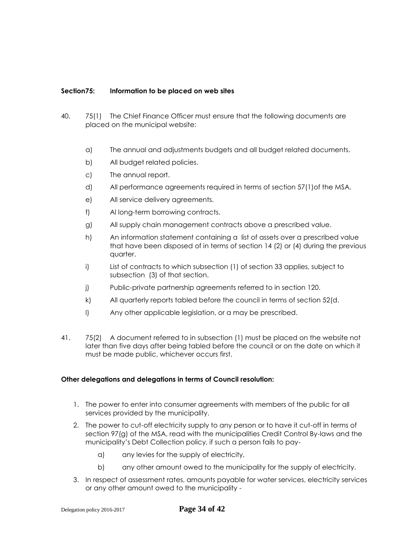## **Section75: Information to be placed on web sites**

- 40. 75(1) The Chief Finance Officer must ensure that the following documents are placed on the municipal website:
	- a) The annual and adjustments budgets and all budget related documents.
	- b) All budget related policies.
	- c) The annual report.
	- d) All performance agreements required in terms of section 57(1)of the MSA.
	- e) All service delivery agreements.
	- f) Al long-term borrowing contracts.
	- g) All supply chain management contracts above a prescribed value.
	- h) An information statement containing a list of assets over a prescribed value that have been disposed of in terms of section 14 (2) or (4) during the previous quarter.
	- i) List of contracts to which subsection (1) of section 33 applies, subject to subsection (3) of that section.
	- j) Public-private partnership agreements referred to in section 120.
	- k) All quarterly reports tabled before the council in terms of section 52(d.
	- l) Any other applicable legislation, or a may be prescribed.
- 41. 75(2) A document referred to in subsection (1) must be placed on the website not later than five days after being tabled before the council or on the date on which it must be made public, whichever occurs first.

## **Other delegations and delegations in terms of Council resolution:**

- 1. The power to enter into consumer agreements with members of the public for all services provided by the municipality.
- 2. The power to cut-off electricity supply to any person or to have it cut-off in terms of section 97(g) of the MSA, read with the municipalities Credit Control By-laws and the municipality's Debt Collection policy, if such a person fails to pay
	- a) any levies for the supply of electricity,
	- b) any other amount owed to the municipality for the supply of electricity.
- 3. In respect of assessment rates, amounts payable for water services, electricity services or any other amount owed to the municipality -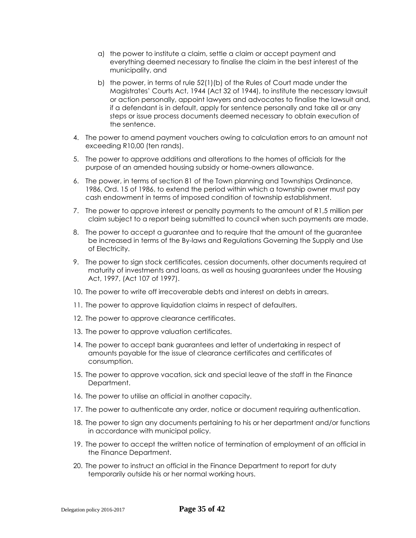- a) the power to institute a claim, settle a claim or accept payment and everything deemed necessary to finalise the claim in the best interest of the municipality, and
- b) the power, in terms of rule 52(1)(b) of the Rules of Court made under the Magistrates' Courts Act, 1944 (Act 32 of 1944), to institute the necessary lawsuit or action personally, appoint lawyers and advocates to finalise the lawsuit and, if a defendant is in default, apply for sentence personally and take all or any steps or issue process documents deemed necessary to obtain execution of the sentence.
- 4. The power to amend payment vouchers owing to calculation errors to an amount not exceeding R10,00 (ten rands).
- 5. The power to approve additions and alterations to the homes of officials for the purpose of an amended housing subsidy or home-owners allowance.
- 6. The power, in terms of section 81 of the Town planning and Townships Ordinance, 1986, Ord. 15 of 1986, to extend the period within which a township owner must pay cash endowment in terms of imposed condition of township establishment.
- 7. The power to approve interest or penalty payments to the amount of R1,5 million per claim subject to a report being submitted to council when such payments are made.
- 8. The power to accept a guarantee and to require that the amount of the guarantee be increased in terms of the By-laws and Regulations Governing the Supply and Use of Electricity.
- 9. The power to sign stock certificates, cession documents, other documents required at maturity of investments and loans, as well as housing guarantees under the Housing Act, 1997, (Act 107 of 1997).
- 10. The power to write off irrecoverable debts and interest on debts in arrears.
- 11. The power to approve liquidation claims in respect of defaulters.
- 12. The power to approve clearance certificates.
- 13. The power to approve valuation certificates.
- 14. The power to accept bank guarantees and letter of undertaking in respect of amounts payable for the issue of clearance certificates and certificates of consumption.
- 15. The power to approve vacation, sick and special leave of the staff in the Finance Department.
- 16. The power to utilise an official in another capacity.
- 17. The power to authenticate any order, notice or document requiring authentication.
- 18. The power to sign any documents pertaining to his or her department and/or functions in accordance with municipal policy.
- 19. The power to accept the written notice of termination of employment of an official in the Finance Department.
- 20. The power to instruct an official in the Finance Department to report for duty temporarily outside his or her normal working hours.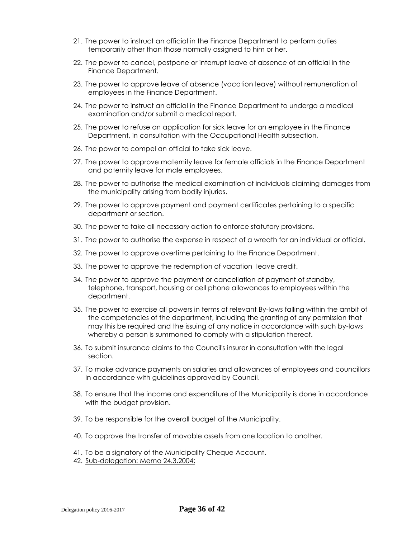- 21. The power to instruct an official in the Finance Department to perform duties temporarily other than those normally assigned to him or her.
- 22. The power to cancel, postpone or interrupt leave of absence of an official in the Finance Department.
- 23. The power to approve leave of absence (vacation leave) without remuneration of employees in the Finance Department.
- 24. The power to instruct an official in the Finance Department to undergo a medical examination and/or submit a medical report.
- 25. The power to refuse an application for sick leave for an employee in the Finance Department, in consultation with the Occupational Health subsection,
- 26. The power to compel an official to take sick leave.
- 27. The power to approve maternity leave for female officials in the Finance Department and paternity leave for male employees.
- 28. The power to authorise the medical examination of individuals claiming damages from the municipality arising from bodily injuries.
- 29. The power to approve payment and payment certificates pertaining to a specific department or section.
- 30. The power to take all necessary action to enforce statutory provisions.
- 31. The power to authorise the expense in respect of a wreath for an individual or official.
- 32. The power to approve overtime pertaining to the Finance Department.
- 33. The power to approve the redemption of vacation leave credit.
- 34. The power to approve the payment or cancellation of payment of standby, telephone, transport, housing or cell phone allowances to employees within the department.
- 35. The power to exercise all powers in terms of relevant By-laws falling within the ambit of the competencies of the department, including the granting of any permission that may this be required and the issuing of any notice in accordance with such by-laws whereby a person is summoned to comply with a stipulation thereof.
- 36. To submit insurance claims to the Council's insurer in consultation with the legal section.
- 37. To make advance payments on salaries and allowances of employees and councillors in accordance with guidelines approved by Council.
- 38. To ensure that the income and expenditure of the Municipality is done in accordance with the budget provision.
- 39. To be responsible for the overall budget of the Municipality.
- 40. To approve the transfer of movable assets from one location to another.
- 41. To be a signatory of the Municipality Cheque Account.
- 42. Sub-delegation: Memo 24.3.2004: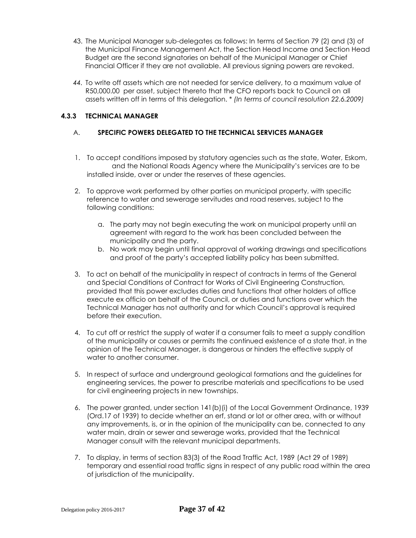- 43. The Municipal Manager sub-delegates as follows: In terms of Section 79 (2) and (3) of the Municipal Finance Management Act, the Section Head Income and Section Head Budget are the second signatories on behalf of the Municipal Manager or Chief Financial Officer if they are not available. All previous signing powers are revoked.
- *44.* To write off assets which are not needed for service delivery, to a maximum value of R50,000.00 per asset, subject thereto that the CFO reports back to Council on all assets written off in terms of this delegation. \* *(In terms of council resolution 22.6.2009)*

## **4.3.3 TECHNICAL MANAGER**

## A. **SPECIFIC POWERS DELEGATED TO THE TECHNICAL SERVICES MANAGER**

- 1. To accept conditions imposed by statutory agencies such as the state, Water, Eskom, and the National Roads Agency where the Municipality's services are to be installed inside, over or under the reserves of these agencies.
- 2. To approve work performed by other parties on municipal property, with specific reference to water and sewerage servitudes and road reserves, subject to the following conditions:
	- a. The party may not begin executing the work on municipal property until an agreement with regard to the work has been concluded between the municipality and the party.
	- b. No work may begin until final approval of working drawings and specifications and proof of the party's accepted liability policy has been submitted.
- 3. To act on behalf of the municipality in respect of contracts in terms of the General and Special Conditions of Contract for Works of Civil Engineering Construction, provided that this power excludes duties and functions that other holders of office execute ex officio on behalf of the Council, or duties and functions over which the Technical Manager has not authority and for which Council's approval is required before their execution.
- 4. To cut off or restrict the supply of water if a consumer fails to meet a supply condition of the municipality or causes or permits the continued existence of a state that, in the opinion of the Technical Manager, is dangerous or hinders the effective supply of water to another consumer.
- 5. In respect of surface and underground geological formations and the guidelines for engineering services, the power to prescribe materials and specifications to be used for civil engineering projects in new townships.
- 6. The power granted, under section 141(b)(i) of the Local Government Ordinance, 1939 (Ord.17 of 1939) to decide whether an erf, stand or lot or other area, with or without any improvements, is, or in the opinion of the municipality can be, connected to any water main, drain or sewer and sewerage works, provided that the Technical Manager consult with the relevant municipal departments.
- 7. To display, in terms of section 83(3) of the Road Traffic Act, 1989 (Act 29 of 1989) temporary and essential road traffic signs in respect of any public road within the area of jurisdiction of the municipality.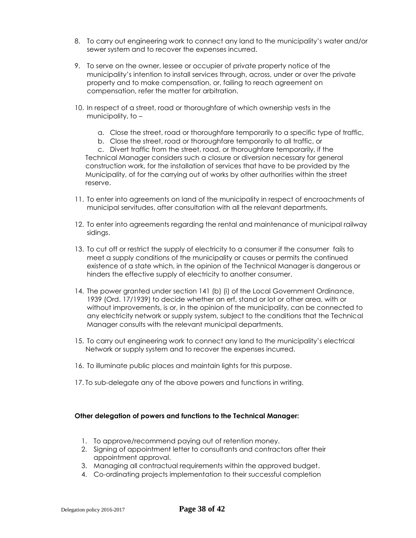- 8. To carry out engineering work to connect any land to the municipality's water and/or sewer system and to recover the expenses incurred.
- 9. To serve on the owner, lessee or occupier of private property notice of the municipality's intention to install services through, across, under or over the private property and to make compensation, or, failing to reach agreement on compensation, refer the matter for arbitration.
- 10. In respect of a street, road or thoroughfare of which ownership vests in the municipality, to –
	- a. Close the street, road or thoroughfare temporarily to a specific type of traffic,
	- b. Close the street, road or thoroughfare temporarily to all traffic, or

c. Divert traffic from the street, road, or thoroughfare temporarily, if the Technical Manager considers such a closure or diversion necessary for general construction work, for the installation of services that have to be provided by the Municipality, of for the carrying out of works by other authorities within the street reserve.

- 11. To enter into agreements on land of the municipality in respect of encroachments of municipal servitudes, after consultation with all the relevant departments.
- 12. To enter into agreements regarding the rental and maintenance of municipal railway sidings.
- 13. To cut off or restrict the supply of electricity to a consumer if the consumer fails to meet a supply conditions of the municipality or causes or permits the continued existence of a state which, in the opinion of the Technical Manager is dangerous or hinders the effective supply of electricity to another consumer.
- 14. The power granted under section 141 (b) (i) of the Local Government Ordinance, 1939 (Ord. 17/1939) to decide whether an erf, stand or lot or other area, with or without improvements, is or, in the opinion of the municipality, can be connected to any electricity network or supply system, subject to the conditions that the Technical Manager consults with the relevant municipal departments.
- 15. To carry out engineering work to connect any land to the municipality's electrical Network or supply system and to recover the expenses incurred.
- 16. To illuminate public places and maintain lights for this purpose.
- 17. To sub-delegate any of the above powers and functions in writing.

#### **Other delegation of powers and functions to the Technical Manager:**

- 1. To approve/recommend paying out of retention money.
- 2. Signing of appointment letter to consultants and contractors after their appointment approval.
- 3. Managing all contractual requirements within the approved budget.
- 4. Co-ordinating projects implementation to their successful completion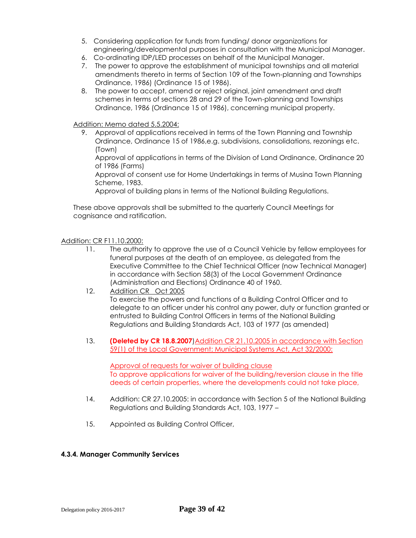- 5. Considering application for funds from funding/ donor organizations for engineering/developmental purposes in consultation with the Municipal Manager.
- 6. Co-ordinating IDP/LED processes on behalf of the Municipal Manager.
- 7. The power to approve the establishment of municipal townships and all material amendments thereto in terms of Section 109 of the Town-planning and Townships Ordinance, 1986) (Ordinance 15 of 1986).
- 8. The power to accept, amend or reject original, joint amendment and draft schemes in terms of sections 28 and 29 of the Town-planning and Townships Ordinance, 1986 (Ordinance 15 of 1986), concerning municipal property.

## Addition: Memo dated 5.5.2004:

9. Approval of applications received in terms of the Town Planning and Township Ordinance, Ordinance 15 of 1986,e.g. subdivisions, consolidations, rezonings etc. (Town)

Approval of applications in terms of the Division of Land Ordinance, Ordinance 20 of 1986 (Farms)

Approval of consent use for Home Undertakings in terms of Musina Town Planning Scheme, 1983.

Approval of building plans in terms of the National Building Regulations.

These above approvals shall be submitted to the quarterly Council Meetings for cognisance and ratification.

## Addition: CR F11.10.2000:

- 11. The authority to approve the use of a Council Vehicle by fellow employees for funeral purposes at the death of an employee, as delegated from the Executive Committee to the Chief Technical Officer (now Technical Manager) in accordance with Section 58(3) of the Local Government Ordinance (Administration and Elections) Ordinance 40 of 1960.
- 12. Addition CR Oct 2005 To exercise the powers and functions of a Building Control Officer and to delegate to an officer under his control any power, duty or function granted or entrusted to Building Control Officers in terms of the National Building Regulations and Building Standards Act, 103 of 1977 (as amended)
- 13. **(Deleted by CR 18.8.2007**)Addition CR 21.10.2005 in accordance with Section 59(1) of the Local Government: Municipal Systems Act, Act 32/2000:

Approval of requests for waiver of building clause To approve applications for waiver of the building/reversion clause in the title deeds of certain properties, where the developments could not take place,

- 14. Addition: CR 27.10.2005: in accordance with Section 5 of the National Building Regulations and Building Standards Act, 103, 1977 –
- 15. Appointed as Building Control Officer,

## **4.3.4. Manager Community Services**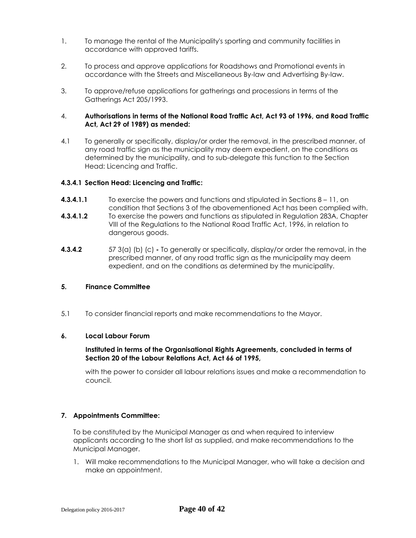- 1. To manage the rental of the Municipality's sporting and community facilities in accordance with approved tariffs.
- 2. To process and approve applications for Roadshows and Promotional events in accordance with the Streets and Miscellaneous By-law and Advertising By-law.
- 3. To approve/refuse applications for gatherings and processions in terms of the Gatherings Act 205/1993.

#### 4. **Authorisations in terms of the National Road Traffic Act, Act 93 of 1996, and Road Traffic Act, Act 29 of 1989) as mended:**

4.1 To generally or specifically, display/or order the removal, in the prescribed manner, of any road traffic sign as the municipality may deem expedient, on the conditions as determined by the municipality, and to sub-delegate this function to the Section Head: Licencing and Traffic.

#### **4.3.4.1 Section Head: Licencing and Traffic:**

- **4.3.4.1.1** To exercise the powers and functions and stipulated in Sections 8 11, on condition that Sections 3 of the abovementioned Act has been complied with.
- **4.3.4.1.2** To exercise the powers and functions as stipulated in Regulation 283A, Chapter VIII of the Regulations to the National Road Traffic Act, 1996, in relation to dangerous goods.
- **4.3.4.2** 57 3(a) (b) (c) **-** To generally or specifically, display/or order the removal, in the prescribed manner, of any road traffic sign as the municipality may deem expedient, and on the conditions as determined by the municipality.

## **5. Finance Committee**

5.1 To consider financial reports and make recommendations to the Mayor.

#### **6. Local Labour Forum**

#### **Instituted in terms of the Organisational Rights Agreements, concluded in terms of Section 20 of the Labour Relations Act, Act 66 of 1995,**

with the power to consider all labour relations issues and make a recommendation to council.

## **7. Appointments Committee:**

To be constituted by the Municipal Manager as and when required to interview applicants according to the short list as supplied, and make recommendations to the Municipal Manager.

1. Will make recommendations to the Municipal Manager, who will take a decision and make an appointment.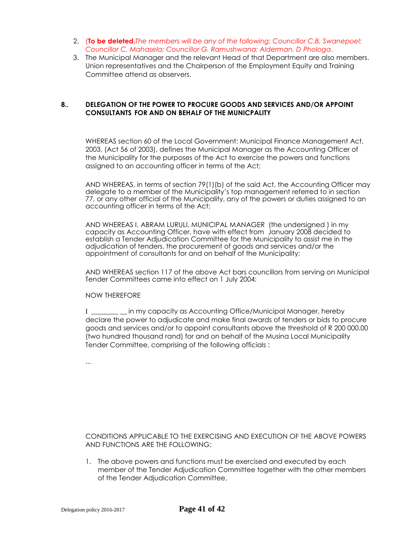- 2. (**To be deleted.***The members will be any of the following: Councillor C.B. Swanepoel; Councillor C. Mahasela; Councillor G. Ramushwana; Alderman. D Phologa*.
- 3. The Municipal Manager and the relevant Head of that Department are also members. Union representatives and the Chairperson of the Employment Equity and Training Committee attend as observers.

## **8.. DELEGATION OF THE POWER TO PROCURE GOODS AND SERVICES AND/OR APPOINT CONSULTANTS FOR AND ON BEHALF OF THE MUNICPALITY**

WHEREAS section 60 of the Local Government: Municipal Finance Management Act, 2003, (Act 56 of 2003), defines the Municipal Manager as the Accounting Officer of the Municipality for the purposes of the Act to exercise the powers and functions assigned to an accounting officer in terms of the Act;

AND WHEREAS, in terms of section 79(1)(b) of the said Act, the Accounting Officer may delegate to a member of the Municipality's top management referred to in section 77, or any other official of the Municipality, any of the powers or duties assigned to an accounting officer in terms of the Act;

AND WHEREAS I, ABRAM LURULI, MUNICIPAL MANAGER (the undersigned ) in my capacity as Accounting Officer, have with effect from January 2008 decided to establish a Tender Adjudication Committee for the Municipality to assist me in the adjudication of tenders, the procurement of goods and services and/or the appointment of consultants for and on behalf of the Municipality;

AND WHEREAS section 117 of the above Act bars councillors from serving on Municipal Tender Committees came into effect on 1 July 2004;

NOW THEREFORE

I \_\_\_\_\_\_\_\_ \_\_ in my capacity as Accounting Office/Municipal Manager, hereby declare the power to adjudicate and make final awards of tenders or bids to procure goods and services and/or to appoint consultants above the threshold of R 200 000.00 (two hundred thousand rand) for and on behalf of the Musina Local Municipality Tender Committee, comprising of the following officials :

...

CONDITIONS APPLICABLE TO THE EXERCISING AND EXECUTION OF THE ABOVE POWERS AND FUNCTIONS ARE THE FOLLOWING:

1. The above powers and functions must be exercised and executed by each member of the Tender Adjudication Committee together with the other members of the Tender Adjudication Committee,